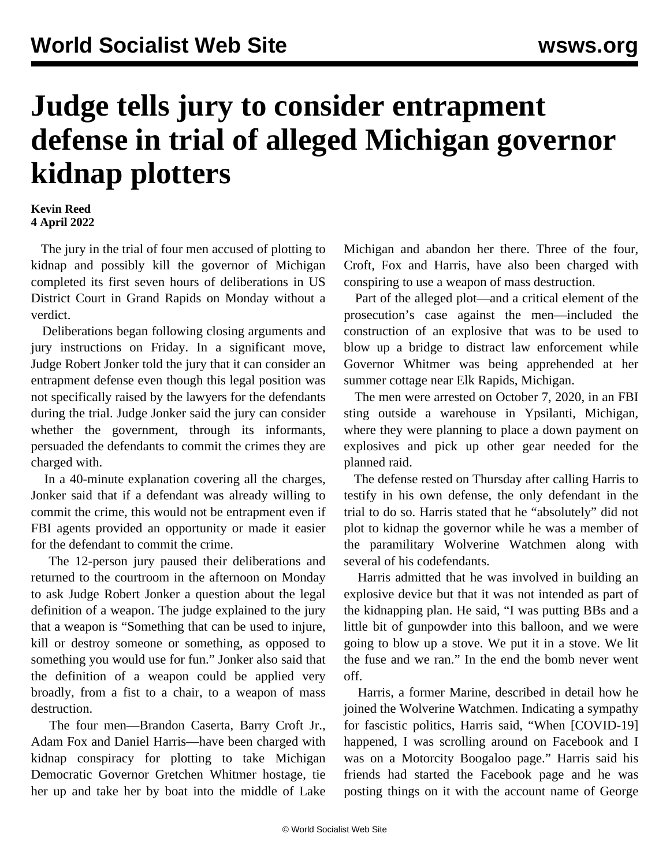## **Judge tells jury to consider entrapment defense in trial of alleged Michigan governor kidnap plotters**

## **Kevin Reed 4 April 2022**

 The jury in the trial of four men accused of plotting to kidnap and possibly kill the governor of Michigan completed its first seven hours of deliberations in US District Court in Grand Rapids on Monday without a verdict.

 Deliberations began following closing arguments and jury instructions on Friday. In a significant move, Judge Robert Jonker told the jury that it can consider an entrapment defense even though this legal position was not specifically raised by the lawyers for the defendants during the trial. Judge Jonker said the jury can consider whether the government, through its informants, persuaded the defendants to commit the crimes they are charged with.

 In a 40-minute explanation covering all the charges, Jonker said that if a defendant was already willing to commit the crime, this would not be entrapment even if FBI agents provided an opportunity or made it easier for the defendant to commit the crime.

 The 12-person jury paused their deliberations and returned to the courtroom in the afternoon on Monday to ask Judge Robert Jonker a question about the legal definition of a weapon. The judge explained to the jury that a weapon is "Something that can be used to injure, kill or destroy someone or something, as opposed to something you would use for fun." Jonker also said that the definition of a weapon could be applied very broadly, from a fist to a chair, to a weapon of mass destruction.

 The four men—Brandon Caserta, Barry Croft Jr., Adam Fox and Daniel Harris—have been charged with kidnap conspiracy for plotting to take Michigan Democratic Governor Gretchen Whitmer hostage, tie her up and take her by boat into the middle of Lake

Michigan and abandon her there. Three of the four, Croft, Fox and Harris, have also been charged with conspiring to use a weapon of mass destruction.

 Part of the alleged plot—and a critical element of the prosecution's case against the men—included the construction of an explosive that was to be used to blow up a bridge to distract law enforcement while Governor Whitmer was being apprehended at her summer cottage near Elk Rapids, Michigan.

 The men were arrested on October 7, 2020, in an FBI sting outside a warehouse in Ypsilanti, Michigan, where they were planning to place a down payment on explosives and pick up other gear needed for the planned raid.

 The defense rested on Thursday after calling Harris to testify in his own defense, the only defendant in the trial to do so. Harris stated that he "absolutely" did not plot to kidnap the governor while he was a member of the paramilitary Wolverine Watchmen along with several of his codefendants.

 Harris admitted that he was involved in building an explosive device but that it was not intended as part of the kidnapping plan. He said, "I was putting BBs and a little bit of gunpowder into this balloon, and we were going to blow up a stove. We put it in a stove. We lit the fuse and we ran." In the end the bomb never went off.

 Harris, a former Marine, described in detail how he joined the Wolverine Watchmen. Indicating a sympathy for fascistic politics, Harris said, "When [COVID-19] happened, I was scrolling around on Facebook and I was on a Motorcity Boogaloo page." Harris said his friends had started the Facebook page and he was posting things on it with the account name of George